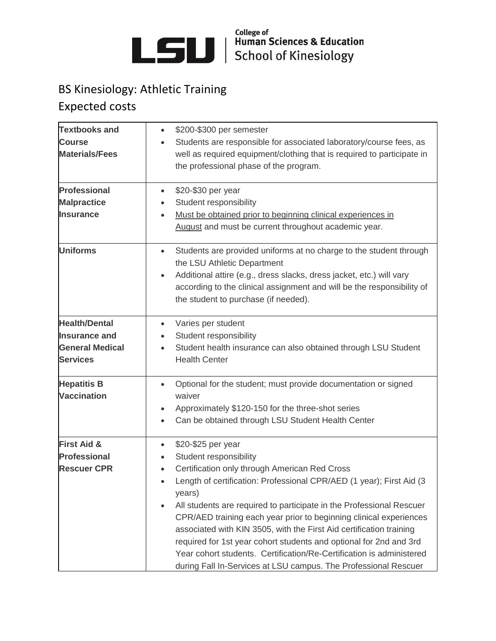

College of Human Sciences & Education<br>School of Kinesiology

## BS Kinesiology: Athletic Training Expected costs

| <b>Textbooks and</b><br><b>Course</b><br><b>Materials/Fees</b><br><b>Professional</b><br><b>Malpractice</b><br><b>Insurance</b> | \$200-\$300 per semester<br>Students are responsible for associated laboratory/course fees, as<br>well as required equipment/clothing that is required to participate in<br>the professional phase of the program.<br>\$20-\$30 per year<br>$\bullet$<br>Student responsibility<br>Must be obtained prior to beginning clinical experiences in<br>August and must be current throughout academic year.                                                                                                                                                                                                                                          |
|---------------------------------------------------------------------------------------------------------------------------------|-------------------------------------------------------------------------------------------------------------------------------------------------------------------------------------------------------------------------------------------------------------------------------------------------------------------------------------------------------------------------------------------------------------------------------------------------------------------------------------------------------------------------------------------------------------------------------------------------------------------------------------------------|
| <b>Uniforms</b>                                                                                                                 | Students are provided uniforms at no charge to the student through<br>$\bullet$<br>the LSU Athletic Department<br>Additional attire (e.g., dress slacks, dress jacket, etc.) will vary<br>according to the clinical assignment and will be the responsibility of<br>the student to purchase (if needed).                                                                                                                                                                                                                                                                                                                                        |
| <b>Health/Dental</b><br><b>Insurance and</b><br><b>General Medical</b><br><b>Services</b>                                       | Varies per student<br>$\bullet$<br>Student responsibility<br>$\bullet$<br>Student health insurance can also obtained through LSU Student<br>$\bullet$<br><b>Health Center</b>                                                                                                                                                                                                                                                                                                                                                                                                                                                                   |
| <b>Hepatitis B</b><br><b>Vaccination</b>                                                                                        | Optional for the student; must provide documentation or signed<br>$\bullet$<br>waiver<br>Approximately \$120-150 for the three-shot series<br>$\bullet$<br>Can be obtained through LSU Student Health Center                                                                                                                                                                                                                                                                                                                                                                                                                                    |
| <b>First Aid &amp;</b><br><b>Professional</b><br><b>Rescuer CPR</b>                                                             | \$20-\$25 per year<br>$\bullet$<br>Student responsibility<br>$\bullet$<br>Certification only through American Red Cross<br>Length of certification: Professional CPR/AED (1 year); First Aid (3<br>years)<br>All students are required to participate in the Professional Rescuer<br>CPR/AED training each year prior to beginning clinical experiences<br>associated with KIN 3505, with the First Aid certification training<br>required for 1st year cohort students and optional for 2nd and 3rd<br>Year cohort students. Certification/Re-Certification is administered<br>during Fall In-Services at LSU campus. The Professional Rescuer |